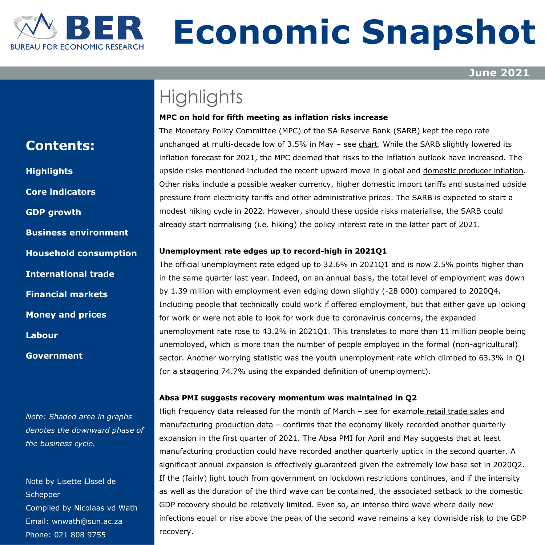

# **Economic Snapshot**

**June 2021** 

# **Highlights**

#### **MPC on hold for fifth meeting as inflation risks increase**

The Monetary Policy Committee (MPC) of the SA Reserve Bank (SARB) kept the repo rate unchanged at multi-decade low of 3.5% in May – se[e chart.](#page-7-0) While the SARB slightly lowered its inflation forecast for 2021, the MPC deemed that risks to the inflation outlook have increased. The upside risks mentioned included the recent upward move in global and [domestic producer inflation.](#page-7-0) Other risks include a possible weaker currency, higher domestic import tariffs and sustained upside pressure from electricity tariffs and other administrative prices. The SARB is expected to start a modest hiking cycle in 2022. However, should these upside risks materialise, the SARB could already start normalising (i.e. hiking) the policy interest rate in the latter part of 2021.

### **Unemployment rate edges up to record-high in 2021Q1**

The official [unemployment rate](#page-8-0) edged up to 32.6% in 2021Q1 and is now 2.5% points higher than in the same quarter last year. Indeed, on an annual basis, the total level of employment was down by 1.39 million with employment even edging down slightly (-28 000) compared to 2020Q4. Including people that technically could work if offered employment, but that either gave up looking for work or were not able to look for work due to coronavirus concerns, the expanded unemployment rate rose to 43.2% in 2021Q1. This translates to more than 11 million people being unemployed, which is more than the number of people employed in the formal (non-agricultural) sector. Another worrying statistic was the youth unemployment rate which climbed to 63.3% in Q1 (or a staggering 74.7% using the expanded definition of unemployment).

#### **Absa PMI suggests recovery momentum was maintained in Q2**

High frequency data released for the month of March – see for example [retail trade sales](#page-4-0) and [manufacturing production data](#page-1-0) – confirms that the economy likely recorded another quarterly expansion in the first quarter of 2021. The Absa PMI for April and May suggests that at least manufacturing production could have recorded another quarterly uptick in the second quarter. A significant annual expansion is effectively guaranteed given the extremely low base set in 2020Q2. If the (fairly) light touch from government on lockdown restrictions continues, and if the intensity as well as the duration of the third wave can be contained, the associated setback to the domestic GDP recovery should be relatively limited. Even so, an intense third wave where daily new infections equal or rise above the peak of the second wave remains a key downside risk to the GDP recovery.

## **Contents:**

**Highlights Core [indicators](#page-1-0) GDP [growth](#page-2-0) [Business](#page-3-0) [environment](#page-3-0) [Household consumption](#page-4-0) [International trade](#page-5-0) [Financial markets](#page-6-0) [Money and prices](#page-7-0) [Labour](#page-8-0) [Government](#page-9-0)**

*Note: Shaded area in graphs denotes the downward phase of the business cycle.*

Note by Lisette IJssel de **Schepper** Compiled by Nicolaas vd Wath Email: [wnwath@sun.ac.za](mailto:wnwath@sun.ac.za) Phone: 021 808 9755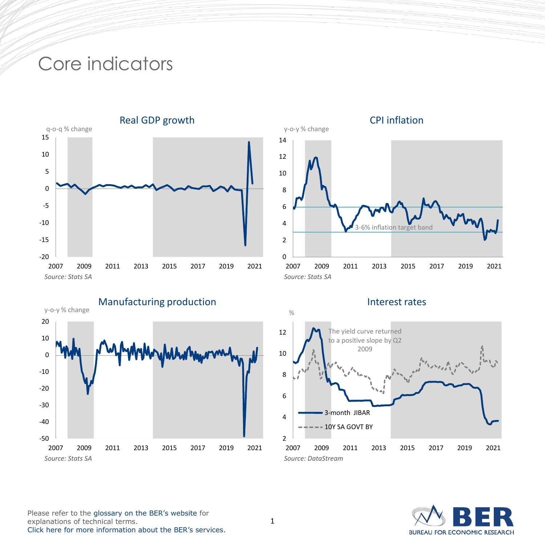# <span id="page-1-0"></span>Core indicators





# CPI inflation

y-o-y % change



## Interest rates



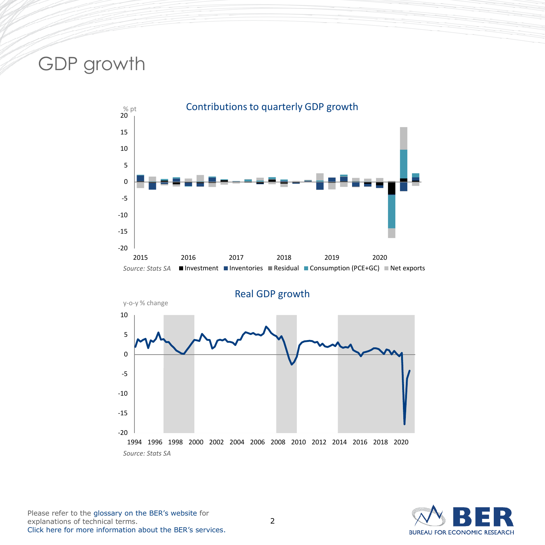# <span id="page-2-0"></span>GDP growth





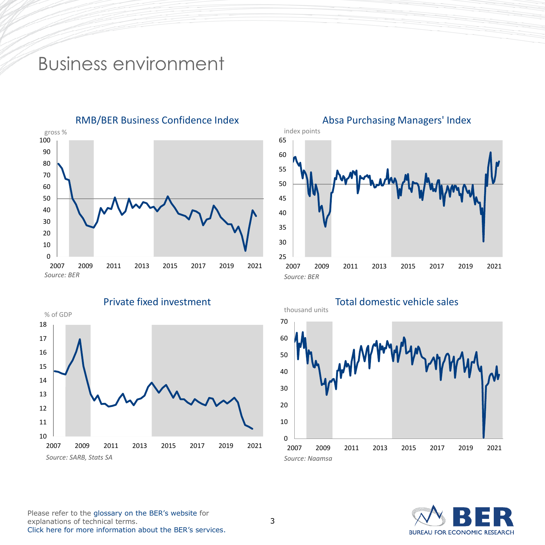# <span id="page-3-0"></span>Business environment



RMB/BER Business Confidence Index



## 2009 2011 2013 2015 2017 2019 2021 Absa Purchasing Managers' Index *Source: BER* index points

 $\Omega$  2009 2011 2013 2015 2017 2019 2021 Total domestic vehicle sales thousand units *Source: Naamsa*

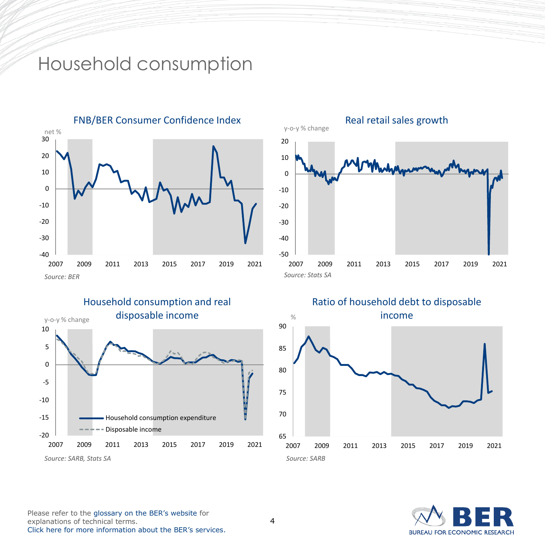# <span id="page-4-0"></span>Household consumption









# **BUREAU FOR ECONOMIC RESEARCH**

Please refer to the [glossary on the BER's website](https://www.ber.ac.za/Glossary/) for explanations of technical terms. [Click here for more information about the BER's services](https://www.ber.ac.za/About-BER/Product-offering/).

4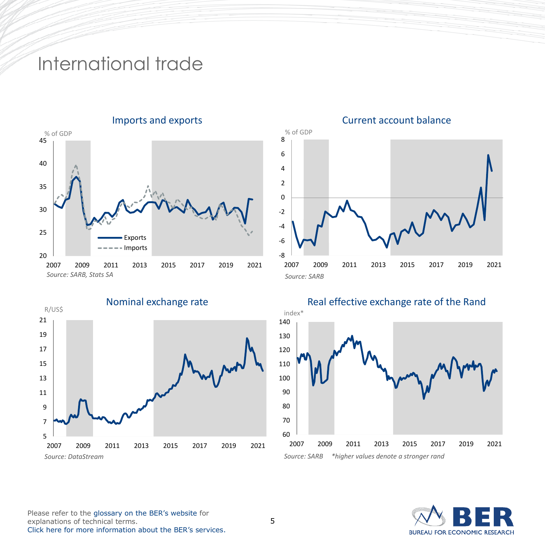# <span id="page-5-0"></span>International trade



 2009 2011 2013 2015 2017 2019 2021 Nominal exchange rate R/US\$ *Source: DataStream*

# Current account balance

% of GDP



## Real effective exchange rate of the Rand



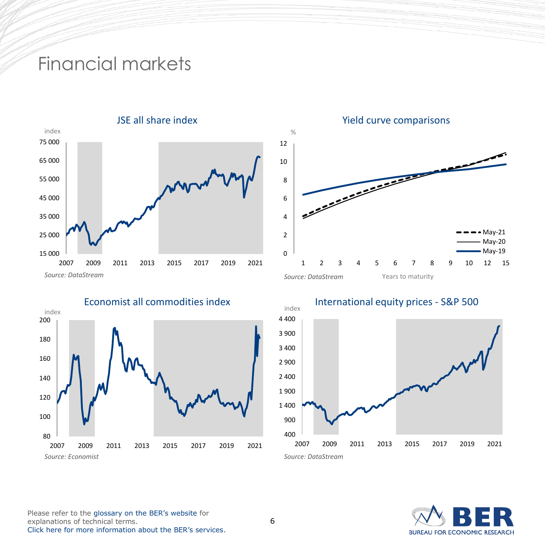# <span id="page-6-0"></span>Financial markets











**BUREAU FOR ECONOMIC RESEARCH** 

Please refer to the [glossary on the BER's website](https://www.ber.ac.za/Glossary/) for explanations of technical terms. [Click here for more information about the BER's services](https://www.ber.ac.za/About-BER/Product-offering/).  $\frac{9}{6}$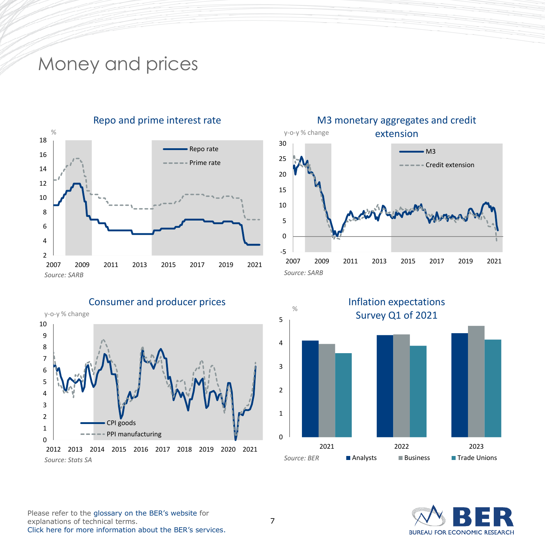## <span id="page-7-0"></span>Money and prices



## Repo and prime interest rate



### $\Omega$ 1 2 3 4 5 6 7 8 9 10 2012 2013 2014 2015 2016 2017 2018 2019 2020 2021 Consumer and producer prices CPI goods PPI manufacturing y-o-y % change

*Source: Stats SA*



## M3 monetary aggregates and credit

**BUREAU FOR ECONOMIC RESEARCH**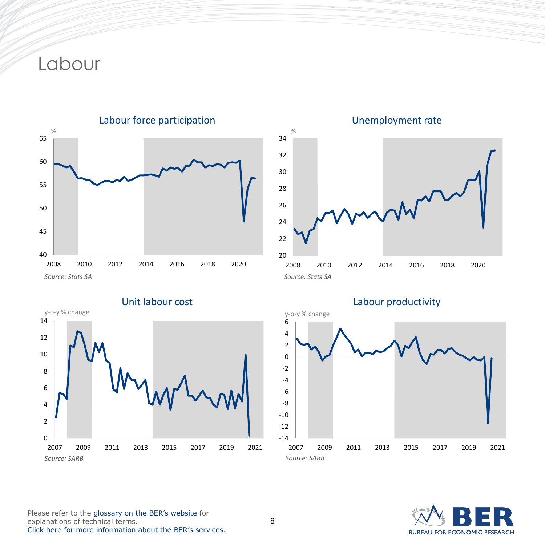# <span id="page-8-0"></span>Labour





## Unemployment rate



## Labour productivity



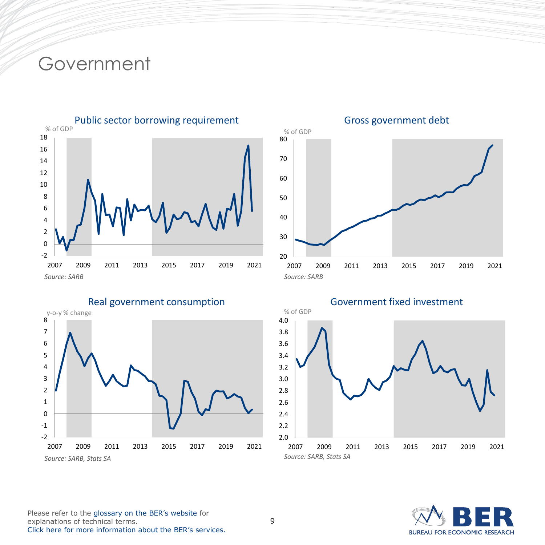## <span id="page-9-0"></span>Government



Real government consumption





Gross government debt



**BUREAU FOR ECONOMIC RESEARCH**